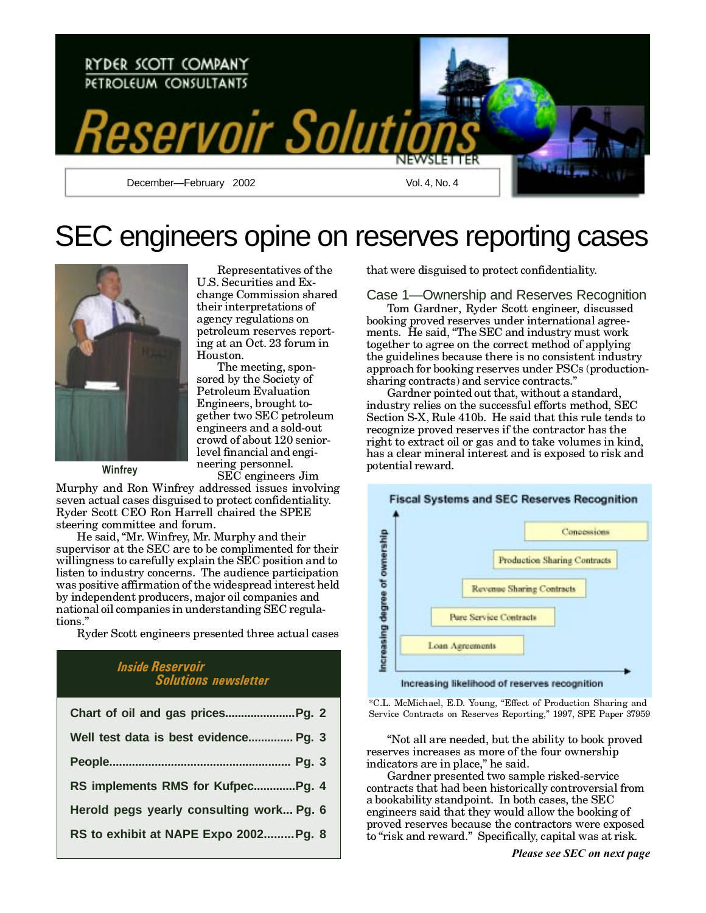

# SEC engineers opine on reserves reporting cases



Winfrey

Representatives of the U.S. Securities and Exchange Commission shared their interpretations of agency regulations on petroleum reserves reporting at an Oct. 23 forum in Houston. The meeting, spon-

sored by the Society of **Petroleum Evaluation** Engineers, brought together two SEC petroleum engineers and a sold-out crowd of about 120 seniorlevel financial and engineering personnel. SEC engineers Jim

Murphy and Ron Winfrey addressed issues involving seven actual cases disguised to protect confidentiality. Ryder Scott CEO Ron Harrell chaired the SPEE steering committee and forum.

He said, "Mr. Winfrey, Mr. Murphy and their supervisor at the SEC are to be complimented for their willingness to carefully explain the SEC position and to listen to industry concerns. The audience participation was positive affirmation of the widespread interest held by independent producers, major oil companies and national oil companies in understanding SEC regulations."

Ryder Scott engineers presented three actual cases

## **Inside Reservoir Solutions newsletter**

| Well test data is best evidence Pg. 3    |
|------------------------------------------|
|                                          |
| RS implements RMS for KufpecPg. 4        |
| Herold pegs yearly consulting work Pg. 6 |
| RS to exhibit at NAPE Expo 2002Pg. 8     |

that were disguised to protect confidentiality.

Case 1—Ownership and Reserves Recognition Tom Gardner, Ryder Scott engineer, discussed booking proved reserves under international agreements. He said, "The SEC and industry must work together to agree on the correct method of applying the guidelines because there is no consistent industry approach for booking reserves under PSCs (productionsharing contracts) and service contracts."

Gardner pointed out that, without a standard, industry relies on the successful efforts method, SEC Section S-X, Rule 410b. He said that this rule tends to recognize proved reserves if the contractor has the right to extract oil or gas and to take volumes in kind, has a clear mineral interest and is exposed to risk and potential reward.



\*C.L. McMichael, E.D. Young, "Effect of Production Sharing and Service Contracts on Reserves Reporting," 1997, SPE Paper 37959

"Not all are needed, but the ability to book proved reserves increases as more of the four ownership indicators are in place," he said.

Gardner presented two sample risked-service contracts that had been historically controversial from a bookability standpoint. In both cases, the SEC engineers said that they would allow the booking of proved reserves because the contractors were exposed to "risk and reward." Specifically, capital was at risk.

Please see SEC on next page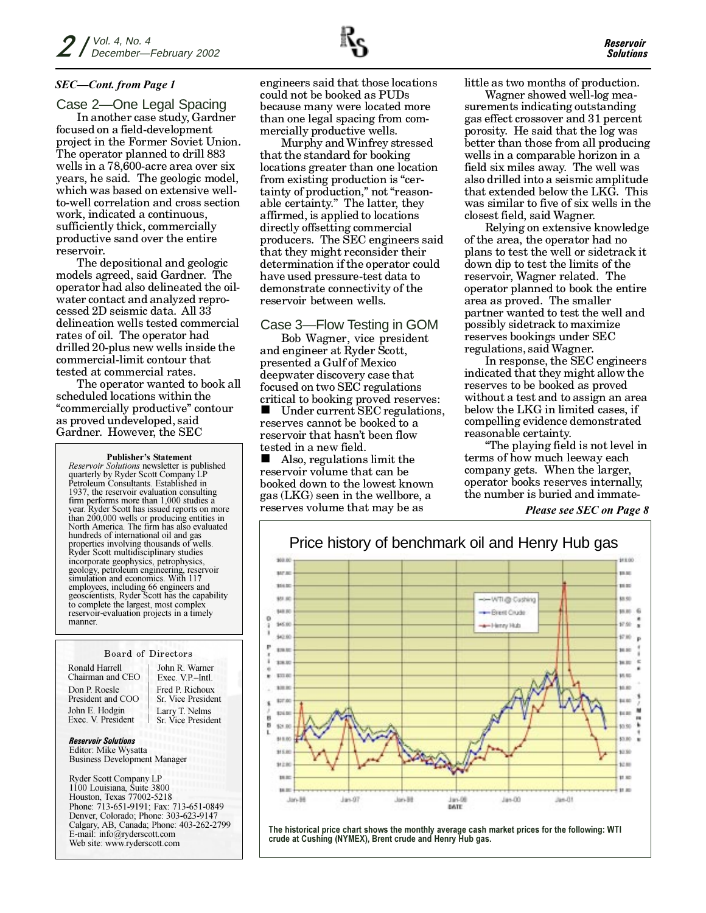## **SEC-Cont.** from Page 1

Case 2—One Legal Spacing In another case study, Gardner focused on a field-development project in the Former Soviet Union. The operator planned to drill 883 wells in a 78,600-acre area over six years, he said. The geologic model, which was based on extensive wellto-well correlation and cross section work, indicated a continuous, sufficiently thick, commercially productive sand over the entire reservoir.

The depositional and geologic models agreed, said Gardner. The operator had also delineated the oilwater contact and analyzed reprocessed 2D seismic data. All 33 delineation wells tested commercial rates of oil. The operator had drilled 20-plus new wells inside the commercial-limit contour that tested at commercial rates.

The operator wanted to book all scheduled locations within the "commercially productive" contour as proved undeveloped, said Gardner. However, the SEC

#### **Publisher's Statement**

Reservoir Solutions newsletter is published quarterly by Ryder Scott Company LP Petroleum Consultants. Established in 1937, the reservoir evaluation consulting firm performs more than  $1,000$  studies a year. Ryder Scott has issued reports on more than 200,000 wells or producing entities in<br>North America. The firm has also evaluated hundreds of international oil and gas properties involving thousands of wells Ryder Scott multidisciplinary studies incorporate geophysics, petrophysics, geology, petroleum engineering, reservoir simulation and economics. With 117 employees, including 66 engineers and<br>geoscientists, Ryder Scott has the capability to complete the largest, most complex reservoir-evaluation projects in a timely manner.

#### **Board of Directors**

Ronald Harrell Chairman and CEO Don P Roesle President and COO John E. Hodgin Exec. V. President

John R Warner Exec. V.P.-Intl. Fred P Richoux Sr. Vice President Larry T. Nelms Sr. Vice President

**Reservoir Solutions** Editor: Mike Wysatta **Business Development Manager** 

**Ryder Scott Company LP** 1100 Louisiana, Suite 3800 Houston, Texas 77002-5218 Phone: 713-651-9191; Fax: 713-651-0849 Denver, Colorado; Phone: 303-623-9147 Calgary, AB, Canada; Phone: 403-262-2799 E-mail: info@ryderscott.com Web site: www.ryderscott.com

engineers said that those locations could not be booked as PUDs because many were located more than one legal spacing from commercially productive wells.

Murphy and Winfrey stressed that the standard for booking locations greater than one location from existing production is "certainty of production," not "reasonable certainty." The latter, they affirmed, is applied to locations directly offsetting commercial producers. The SEC engineers said that they might reconsider their determination if the operator could have used pressure-test data to demonstrate connectivity of the reservoir between wells.

## Case 3-Flow Testing in GOM

Bob Wagner, vice president and engineer at Ryder Scott, presented a Gulf of Mexico deepwater discovery case that focused on two SEC regulations critical to booking proved reserves:

Under current SEC regulations, reserves cannot be booked to a reservoir that hasn't been flow tested in a new field.

Also, regulations limit the reservoir volume that can be booked down to the lowest known gas (LKG) seen in the wellbore, a reserves volume that may be as

little as two months of production.

Wagner showed well-log measurements indicating outstanding gas effect crossover and 31 percent porosity. He said that the log was better than those from all producing wells in a comparable horizon in a field six miles away. The well was also drilled into a seismic amplitude that extended below the LKG. This was similar to five of six wells in the closest field, said Wagner.

Relying on extensive knowledge of the area, the operator had no plans to test the well or side track it down dip to test the limits of the reservoir, Wagner related. The operator planned to book the entire area as proved. The smaller partner wanted to test the well and possibly side track to maximize reserves bookings under SEC regulations, said Wagner.

In response, the SEC engineers indicated that they might allow the reserves to be booked as proved without a test and to assign an area below the LKG in limited cases, if compelling evidence demonstrated reasonable certainty.

"The playing field is not level in terms of how much leeway each company gets. When the larger, operator books reserves internally, the number is buried and immate-

Please see SEC on Page 8



The historical price chart shows the monthly average cash market prices for the following: WTI crude at Cushing (NYMEX), Brent crude and Henry Hub gas.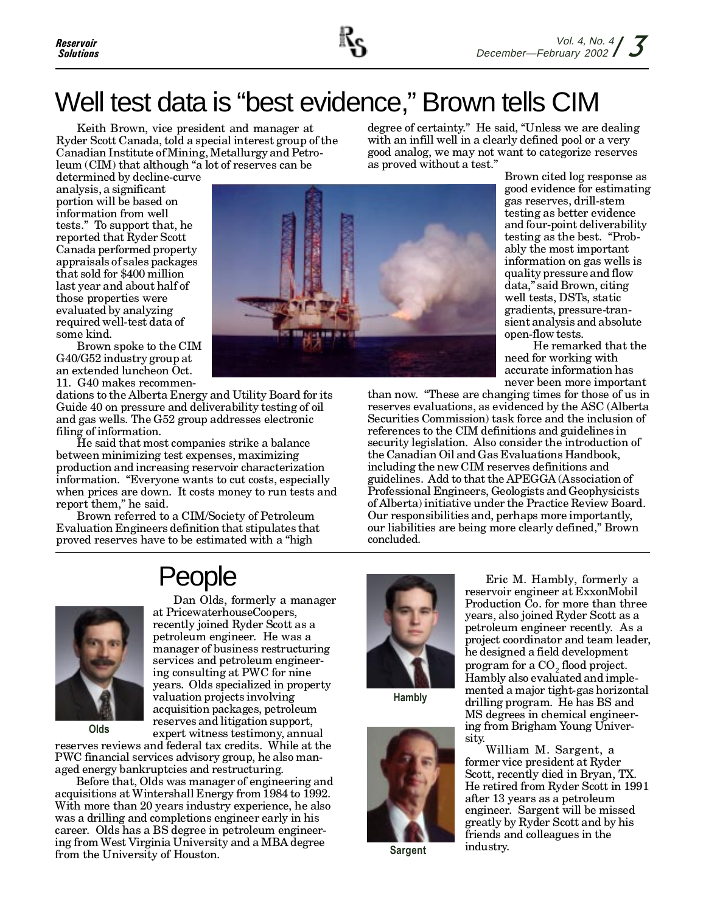

# Well test data is "best evidence," Brown tells CIM

Keith Brown, vice president and manager at Ryder Scott Canada, told a special interest group of the Canadian Institute of Mining, Metallurgy and Petroleum (CIM) that although "a lot of reserves can be

degree of certainty." He said, "Unless we are dealing with an infill well in a clearly defined pool or a very good analog, we may not want to categorize reserves as proved without a test."

determined by decline-curve analysis, a significant portion will be based on information from well tests." To support that, he reported that Ryder Scott Canada performed property appraisals of sales packages that sold for \$400 million last year and about half of those properties were evaluated by analyzing required well-test data of some kind.



Brown spoke to the CIM G40/G52 industry group at an extended luncheon Oct. 11. G40 makes recommen-

dations to the Alberta Energy and Utility Board for its Guide 40 on pressure and deliverability testing of oil and gas wells. The G52 group addresses electronic filing of information.

He said that most companies strike a balance between minimizing test expenses, maximizing production and increasing reservoir characterization information. "Everyone wants to cut costs, especially when prices are down. It costs money to run tests and report them," he said.

Brown referred to a CIM/Society of Petroleum Evaluation Engineers definition that stipulates that proved reserves have to be estimated with a "high

Brown cited log response as good evidence for estimating gas reserves, drill-stem testing as better evidence and four-point deliverability testing as the best. "Probably the most important information on gas wells is quality pressure and flow data," said Brown, citing well tests, DSTs, static gradients, pressure-transient analysis and absolute open-flow tests.

He remarked that the need for working with accurate information has never been more important

than now. "These are changing times for those of us in reserves evaluations, as evidenced by the ASC (Alberta Securities Commission) task force and the inclusion of references to the CIM definitions and guidelines in security legislation. Also consider the introduction of the Canadian Oil and Gas Evaluations Handbook, including the new CIM reserves definitions and guidelines. Add to that the APEGGA (Association of Professional Engineers, Geologists and Geophysicists of Alberta) initiative under the Practice Review Board. Our responsibilities and, perhaps more importantly, our liabilities are being more clearly defined," Brown concluded.

# People



Olds

Dan Olds, formerly a manager at PricewaterhouseCoopers, recently joined Ryder Scott as a petroleum engineer. He was a manager of business restructuring services and petroleum engineering consulting at PWC for nine years. Olds specialized in property valuation projects involving acquisition packages, petroleum reserves and litigation support, expert witness testimony, annual

reserves reviews and federal tax credits. While at the PWC financial services advisory group, he also managed energy bankruptcies and restructuring.

Before that, Olds was manager of engineering and acquisitions at Wintershall Energy from 1984 to 1992. With more than 20 years industry experience, he also was a drilling and completions engineer early in his career. Olds has a BS degree in petroleum engineering from West Virginia University and a MBA degree from the University of Houston.



Hambly



**Sargent** 

Eric M. Hambly, formerly a reservoir engineer at ExxonMobil Production Co. for more than three years, also joined Ryder Scott as a petroleum engineer recently. As a project coordinator and team leader, he designed a field development program for a CO<sub>2</sub> flood project. Hambly also evaluated and implemented a major tight-gas horizontal drilling program. He has BS and MS degrees in chemical engineering from Brigham Young University.

William M. Sargent, a former vice president at Ryder Scott, recently died in Bryan, TX. He retired from Ryder Scott in 1991 after 13 years as a petroleum engineer. Sargent will be missed greatly by Ryder Scott and by his friends and colleagues in the industry.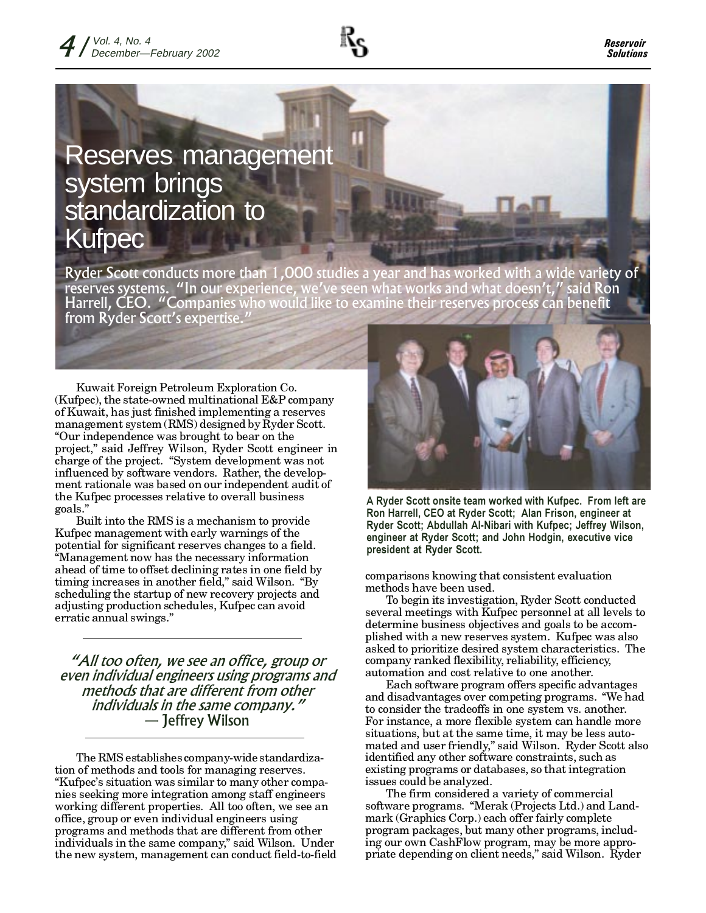

# **Reserves management** system brings<br>standardization to **Kufpec**

Ryder Scott conducts more than 1,000 studies a year and has worked with a vide variety of reserves systems. "In our experience, we've seen what works and what doesn't," said Ro<br>Harrell, CEO. "Companies who would like to examine their reserves process can benefit said Ron from Ryder Scott's expertise.

Kuwait Foreign Petroleum Exploration Co. (Kufpec), the state-owned multinational  $E&P$  company of Kuwait, has just finished implementing a reserves management system (RMS) designed by Ryder Scott. "Our independence was brought to bear on the project," said Jeffrey Wilson, Ryder Scott engineer in charge of the project. "System development was not influenced by software vendors. Rather, the development rationale was based on our independent audit of the Kufpec processes relative to overall business goals."

Built into the RMS is a mechanism to provide Kufpec management with early warnings of the potential for significant reserves changes to a field. "Management now has the necessary information ahead of time to offset declining rates in one field by timing increases in another field," said Wilson. "By scheduling the startup of new recovery projects and adjusting production schedules, Kufpec can avoid erratic annual swings."

"All too often, we see an office, group or even individual engineers using programs and methods that are different from other individuals in the same company." — Jeffrey Wilson

The RMS establishes company-wide standardization of methods and tools for managing reserves. "Kufpec's situation was similar to many other companies seeking more integration among staff engineers working different properties. All too often, we see an office, group or even individual engineers using programs and methods that are different from other individuals in the same company," said Wilson. Under the new system, management can conduct field-to-field



A Ryder Scott onsite team worked with Kufpec. From left are Ron Harrell, CEO at Ryder Scott; Alan Frison, engineer at Ryder Scott; Abdullah Al-Nibari with Kufpec; Jeffrey Wilson, engineer at Ryder Scott; and John Hodgin, executive vice president at Ryder Scott.

comparisons knowing that consistent evaluation methods have been used.

To begin its investigation, Ryder Scott conducted several meetings with Kufpec personnel at all levels to determine business objectives and goals to be accomplished with a new reserves system. Kufpec was also asked to prioritize desired system characteristics. The company ranked flexibility, reliability, efficiency, automation and cost relative to one another.

Each software program offers specific advantages and disadvantages over competing programs. "We had to consider the tradeoffs in one system vs. another. For instance, a more flexible system can handle more situations, but at the same time, it may be less automated and user friendly," said Wilson. Ryder Scott also identified any other software constraints, such as existing programs or databases, so that integration issues could be analyzed.

The firm considered a variety of commercial software programs. "Merak (Projects Ltd.) and Landmark (Graphics Corp.) each offer fairly complete program packages, but many other programs, including our own CashFlow program, may be more appropriate depending on client needs," said Wilson. Ryder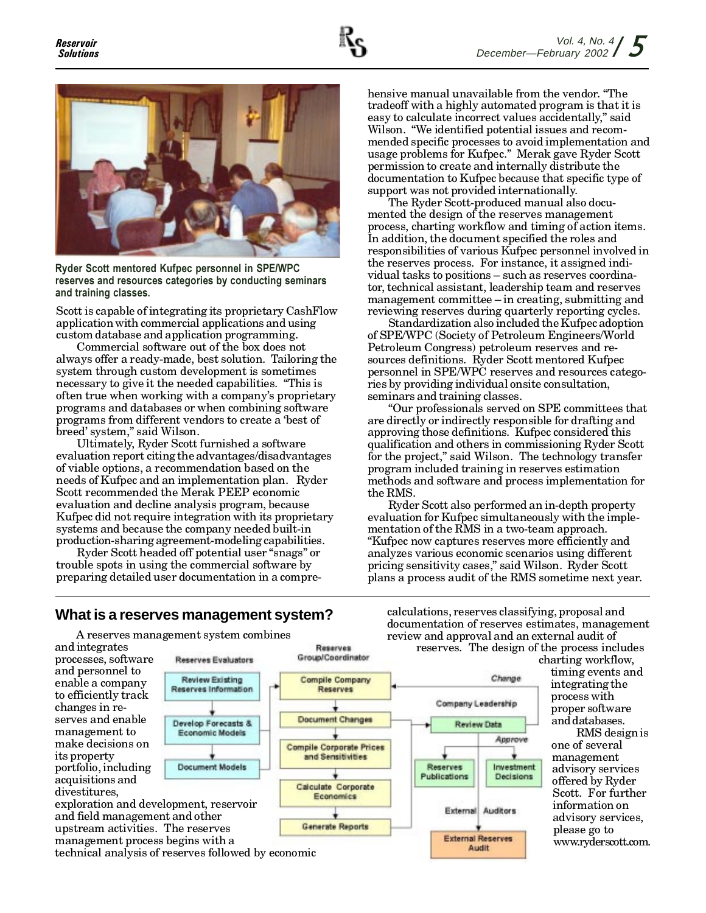

Ryder Scott mentored Kufpec personnel in SPE/WPC reserves and resources categories by conducting seminars and training classes.

Scott is capable of integrating its proprietary CashFlow application with commercial applications and using custom database and application programming.

Commercial software out of the box does not always offer a ready-made, best solution. Tailoring the system through custom development is sometimes necessary to give it the needed capabilities. "This is often true when working with a company's proprietary programs and databases or when combining software programs from different vendors to create a 'best of breed' system," said Wilson.

Ultimately, Ryder Scott furnished a software evaluation report citing the advantages/disadvantages of viable options, a recommendation based on the needs of Kufpec and an implementation plan. Ryder Scott recommended the Merak PEEP economic evaluation and decline analysis program, because Kufpec did not require integration with its proprietary systems and because the company needed built-in production-sharing agreement-modeling capabilities.

Ryder Scott headed off potential user "snags" or trouble spots in using the commercial software by preparing detailed user documentation in a compre-

# What is a reserves management system?

A reserves management system combines

hensive manual unavailable from the vendor. "The tradeoff with a highly automated program is that it is easy to calculate incorrect values accidentally," said Wilson. "We identified potential issues and recommended specific processes to avoid implementation and usage problems for Kufpec." Merak gave Ryder Scott permission to create and internally distribute the documentation to Kufpec because that specific type of support was not provided internationally.

The Ryder Scott-produced manual also documented the design of the reserves management process, charting workflow and timing of action items. In addition, the document specified the roles and responsibilities of various Kufpec personnel involved in the reserves process. For instance, it assigned individual tasks to positions – such as reserves coordinator, technical assistant, leadership team and reserves management committee – in creating, submitting and reviewing reserves during quarterly reporting cycles.

Standardization also included the Kufpec adoption of SPE/WPC (Society of Petroleum Engineers/World Petroleum Congress) petroleum reserves and resources definitions. Ryder Scott mentored Kufpec personnel in SPE/WPC reserves and resources categories by providing individual onsite consultation, seminars and training classes.

"Our professionals served on SPE committees that are directly or indirectly responsible for drafting and approving those definitions. Kufpec considered this qualification and others in commissioning Ryder Scott for the project," said Wilson. The technology transfer program included training in reserves estimation methods and software and process implementation for the RMS.

Ryder Scott also performed an in-depth property evaluation for Kufpec simultaneously with the implementation of the RMS in a two-team approach. "Kufpec now captures reserves more efficiently and analyzes various economic scenarios using different pricing sensitivity cases," said Wilson. Ryder Scott plans a process audit of the RMS sometime next year.



calculations, reserves classifying, proposal and documentation of reserves estimates, management review and approval and an external audit of reserves. The design of the process includes

> charting workflow, timing events and integrating the process with proper software and databases.

RMS design is one of several management advisory services offered by Ryder Scott. For further information on advisory services, please go to www.ryderscott.com.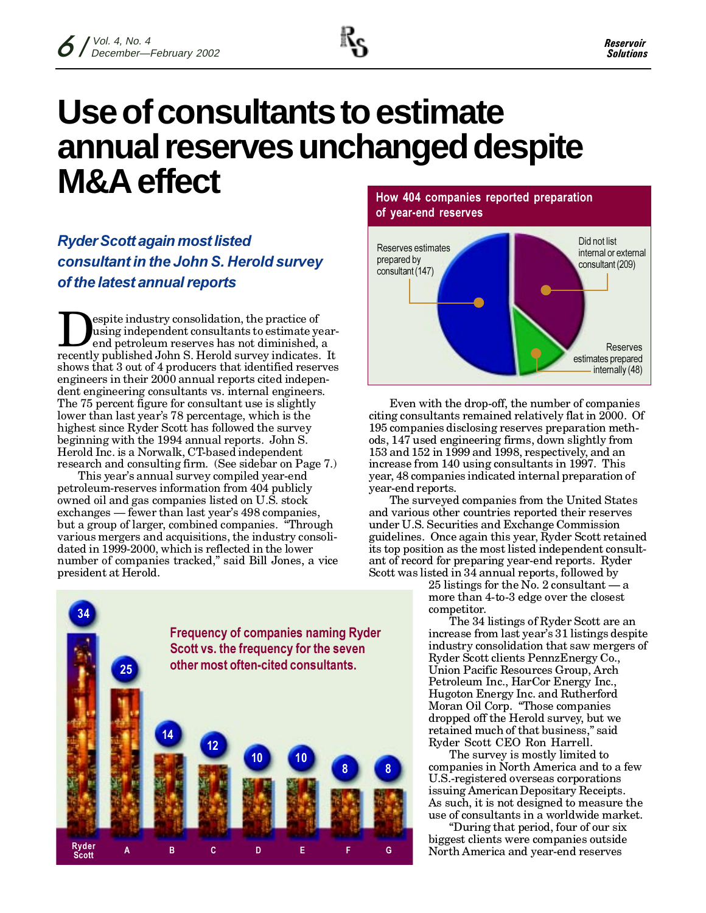

# Use of consultants to estimate annual reserves unchanged despite **M&A** effect

**Ryder Scott again most listed** consultant in the John S. Herold survey of the latest annual reports

espite industry consolidation, the practice of using independent consultants to estimate yearend petroleum reserves has not diminished, a recently published John S. Herold survey indicates. It shows that 3 out of 4 producers that identified reserves engineers in their 2000 annual reports cited independent engineering consultants vs. internal engineers. The 75 percent figure for consultant use is slightly lower than last year's 78 percentage, which is the highest since Ryder Scott has followed the survey beginning with the 1994 annual reports. John S. Herold Inc. is a Norwalk, CT-based independent research and consulting firm. (See sidebar on Page 7.)

This year's annual survey compiled year-end petroleum-reserves information from 404 publicly owned oil and gas companies listed on U.S. stock exchanges — fewer than last year's 498 companies, but a group of larger, combined companies. "Through various mergers and acquisitions, the industry consolidated in 1999-2000, which is reflected in the lower number of companies tracked," said Bill Jones, a vice president at Herold.



How 404 companies reported preparation of year-end reserves



Even with the drop-off, the number of companies citing consultants remained relatively flat in 2000. Of 195 companies disclosing reserves preparation methods, 147 used engineering firms, down slightly from 153 and 152 in 1999 and 1998, respectively, and an increase from 140 using consultants in 1997. This year, 48 companies indicated internal preparation of year-end reports.

The surveyed companies from the United States and various other countries reported their reserves under U.S. Securities and Exchange Commission guidelines. Once again this year, Ryder Scott retained its top position as the most listed independent consultant of record for preparing year-end reports. Ryder Scott was listed in 34 annual reports, followed by

25 listings for the No. 2 consultant  $-a$ more than 4-to-3 edge over the closest competitor.

The 34 listings of Ryder Scott are an increase from last year's 31 listings despite industry consolidation that saw mergers of Ryder Scott clients PennzEnergy Co., Union Pacific Resources Group, Arch Petroleum Inc., HarCor Energy Inc., Hugoton Energy Inc. and Rutherford Moran Oil Corp. "Those companies dropped off the Herold survey, but we retained much of that business," said Ryder Scott CEO Ron Harrell.

The survey is mostly limited to companies in North America and to a few U.S.-registered overseas corporations issuing American Depositary Receipts. As such, it is not designed to measure the use of consultants in a worldwide market.

"During that period, four of our six" biggest clients were companies outside North America and year-end reserves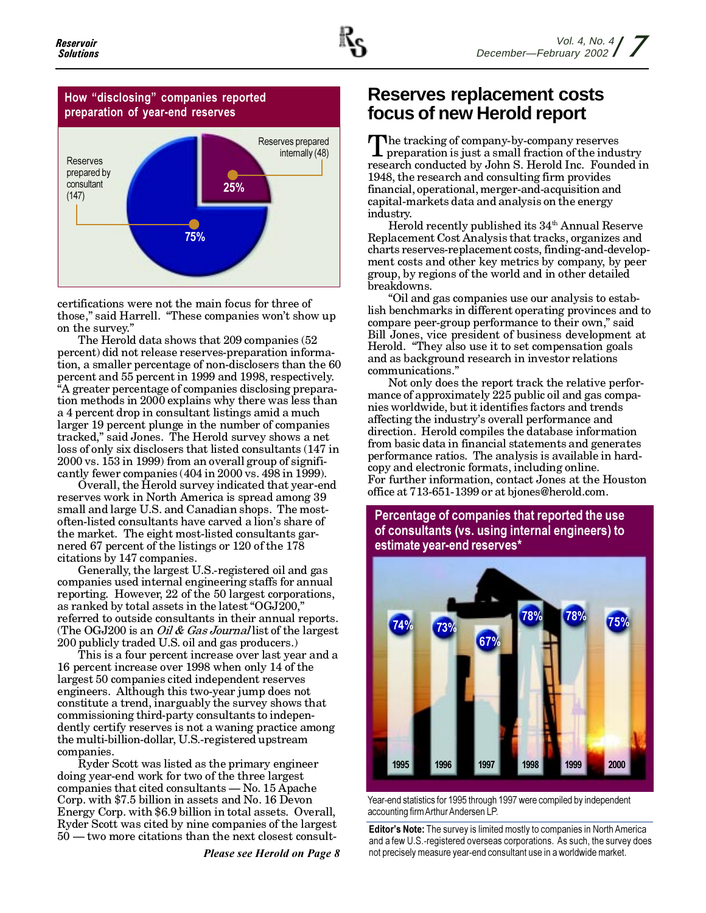## How "disclosing" companies reported preparation of year-end reserves



certifications were not the main focus for three of those," said Harrell. "These companies won't show up on the survey."

The Herold data shows that 209 companies (52) percent) did not release reserves-preparation information, a smaller percentage of non-disclosers than the 60 percent and 55 percent in 1999 and 1998, respectively. "A greater percentage of companies disclosing preparation methods in 2000 explains why there was less than a 4 percent drop in consultant listings amid a much larger 19 percent plunge in the number of companies tracked," said Jones. The Herold survey shows a net loss of only six disclosers that listed consultants (147 in 2000 vs. 153 in 1999) from an overall group of significantly fewer companies (404 in 2000 vs. 498 in 1999).

Overall, the Herold survey indicated that year-end reserves work in North America is spread among 39 small and large U.S. and Canadian shops. The mostoften-listed consultants have carved a lion's share of the market. The eight most-listed consultants garnered 67 percent of the listings or 120 of the 178 citations by 147 companies.

Generally, the largest U.S.-registered oil and gas companies used internal engineering staffs for annual reporting. However, 22 of the 50 largest corporations, as ranked by total assets in the latest "OGJ200," referred to outside consultants in their annual reports. (The OGJ200 is an *Oil & Gas Journal* list of the largest 200 publicly traded U.S. oil and gas producers.)

This is a four percent increase over last year and a 16 percent increase over 1998 when only 14 of the largest 50 companies cited independent reserves engineers. Although this two-year jump does not constitute a trend, inarguably the survey shows that commissioning third-party consultants to independently certify reserves is not a waning practice among the multi-billion-dollar, U.S.-registered upstream companies.

Ryder Scott was listed as the primary engineer doing year-end work for two of the three largest companies that cited consultants — No. 15 Apache Corp. with \$7.5 billion in assets and No. 16 Devon Energy Corp. with \$6.9 billion in total assets. Overall, Ryder Scott was cited by nine companies of the largest 50 — two more citations than the next closest consult-

**Please see Herold on Page 8** 

# Reserves replacement costs focus of new Herold report

The tracking of company-by-company reserves preparation is just a small fraction of the industry research conducted by John S. Herold Inc. Founded in 1948, the research and consulting firm provides financial, operational, merger-and-acquisition and capital-markets data and analysis on the energy industry.

Herold recently published its 34<sup>th</sup> Annual Reserve Replacement Cost Analysis that tracks, organizes and charts reserves-replacement costs, finding-and-development costs and other key metrics by company, by peer group, by regions of the world and in other detailed breakdowns.

"Oil and gas companies use our analysis to establish benchmarks in different operating provinces and to compare peer-group performance to their own," said Bill Jones, vice president of business development at Herold. "They also use it to set compensation goals and as background research in investor relations communications.'

Not only does the report track the relative performance of approximately 225 public oil and gas companies worldwide, but it identifies factors and trends affecting the industry's overall performance and direction. Herold compiles the database information from basic data in financial statements and generates performance ratios. The analysis is available in hardcopy and electronic formats, including online. For further information, contact Jones at the Houston office at 713-651-1399 or at bjones@herold.com.

# Percentage of companies that reported the use of consultants (vs. using internal engineers) to estimate year-end reserves\*



Year-end statistics for 1995 through 1997 were compiled by independent accounting firm Arthur Andersen LP.

Editor's Note: The survey is limited mostly to companies in North America and a few U.S.-registered overseas corporations. As such, the survey does not precisely measure year-end consultant use in a worldwide market.